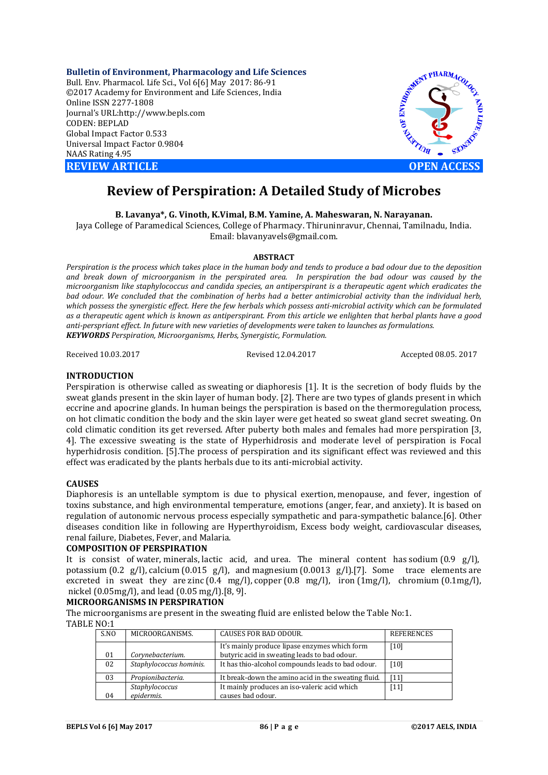**Bulletin of Environment, Pharmacology and Life Sciences** Bull. Env. Pharmacol. Life Sci., Vol 6[6] May 2017: 86-91 ©2017 Academy for Environment and Life Sciences, India Online ISSN 2277-1808 Journal's URL:http://www.bepls.com CODEN: BEPLAD Global Impact Factor 0.533 Universal Impact Factor 0.9804 NAAS Rating 4.95 **REVIEW ARTICLE CONSUMING A REVIEW ARTICLE** 



# **Review of Perspiration: A Detailed Study of Microbes**

**B. Lavanya\*, G. Vinoth, K.Vimal, B.M. Yamine, A. Maheswaran, N. Narayanan.**

Jaya College of Paramedical Sciences, College of Pharmacy. Thiruninravur, Chennai, Tamilnadu, India. Email: blavanyavels@gmail.com.

#### **ABSTRACT**

*Perspiration is the process which takes place in the human body and tends to produce a bad odour due to the deposition and break down of microorganism in the perspirated area. In perspiration the bad odour was caused by the microorganism like staphylococcus and candida species, an antiperspirant is a therapeutic agent which eradicates the bad odour. We concluded that the combination of herbs had a better antimicrobial activity than the individual herb, which possess the synergistic effect. Here the few herbals which possess anti-microbial activity which can be formulated as a therapeutic agent which is known as antiperspirant. From this article we enlighten that herbal plants have a good anti-perspriant effect. In future with new varieties of developments were taken to launches as formulations. KEYWORDS Perspiration, Microorganisms, Herbs, Synergistic, Formulation.*

Received 10.03.2017 Revised 12.04.2017 Accepted 08.05. 2017

## **INTRODUCTION**

Perspiration is otherwise called as sweating or diaphoresis [1]. It is the secretion of body fluids by the sweat glands present in the skin layer of human body. [2]. There are two types of glands present in which eccrine and apocrine glands. In human beings the perspiration is based on the thermoregulation process, on hot climatic condition the body and the skin layer were get heated so sweat gland secret sweating. On cold climatic condition its get reversed. After puberty both males and females had more perspiration [3, 4]. The excessive sweating is the state of Hyperhidrosis and moderate level of perspiration is Focal hyperhidrosis condition. [5].The process of perspiration and its significant effect was reviewed and this effect was eradicated by the plants herbals due to its anti-microbial activity.

### **CAUSES**

Diaphoresis is an untellable symptom is due to physical exertion, menopause, and fever, ingestion of toxins substance, and high environmental temperature, emotions (anger, fear, and anxiety). It is based on regulation of autonomic nervous process especially sympathetic and para-sympathetic balance.[6]. Other diseases condition like in following are Hyperthyroidism, Excess body weight, cardiovascular diseases, renal failure, Diabetes, Fever, and Malaria.

## **COMPOSITION OF PERSPIRATION**

It is consist of water, minerals, lactic acid, and urea. The mineral content has sodium (0.9 g/l), potassium (0.2 g/l), calcium (0.015 g/l), and magnesium (0.0013 g/l).[7]. Some trace elements are excreted in sweat they are zinc  $(0.4 \text{ mg/l})$ , copper  $(0.8 \text{ mg/l})$ , iron  $(1 \text{ mg/l})$ , chromium  $(0.1 \text{ mg/l})$ , nickel (0.05mg/l), and lead (0.05 mg/l).[8, 9].

## **MICROORGANISMS IN PERSPIRATION**

The microorganisms are present in the sweating fluid are enlisted below the Table No:1.

# TABLE NO:1

| S.NO | MICROORGANISMS.         | <b>CAUSES FOR BAD ODOUR.</b>                        | <b>REFERENCES</b> |
|------|-------------------------|-----------------------------------------------------|-------------------|
|      |                         | It's mainly produce lipase enzymes which form       | [10]              |
| 01   | Corynebacterium.        | butyric acid in sweating leads to bad odour.        |                   |
| 02   | Staphylococcus hominis. | It has thio-alcohol compounds leads to bad odour.   | $[10]$            |
| 03   | Propionibacteria.       | It break-down the amino acid in the sweating fluid. | [11]              |
|      | Staphylococcus          | It mainly produces an iso-valeric acid which        | $[11]$            |
| 04   | epidermis.              | causes bad odour.                                   |                   |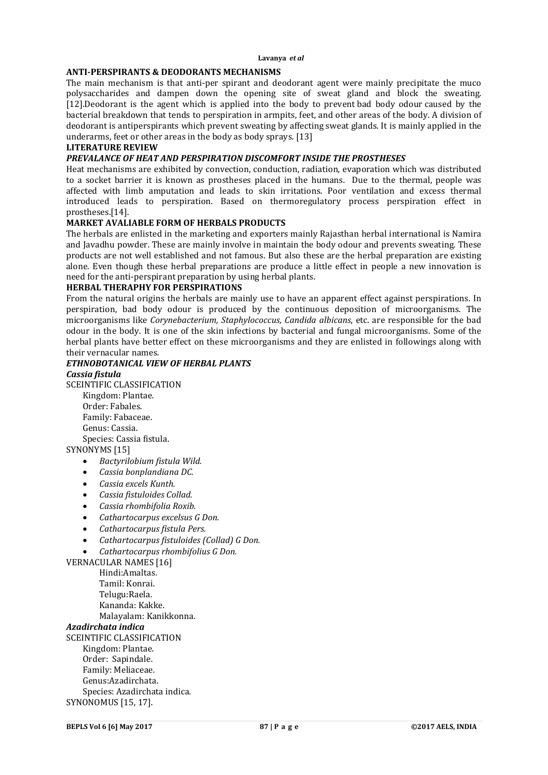#### **ANTI-PERSPIRANTS & DEODORANTS MECHANISMS**

The main mechanism is that anti-per spirant and deodorant agent were mainly precipitate the muco polysaccharides and dampen down the opening site of sweat gland and block the sweating. [12].Deodorant is the agent which is applied into the body to prevent bad body odour caused by the bacterial breakdown that tends to perspiration in armpits, feet, and other areas of the body. A division of deodorant is antiperspirants which prevent sweating by affecting sweat glands. It is mainly applied in the underarms, feet or other areas in the body as body sprays. [13]

# **LITERATURE REVIEW**

# *PREVALANCE OF HEAT AND PERSPIRATION DISCOMFORT INSIDE THE PROSTHESES*

Heat mechanisms are exhibited by convection, conduction, radiation, evaporation which was distributed to a socket barrier it is known as prostheses placed in the humans. Due to the thermal, people was affected with limb amputation and leads to skin irritations. Poor ventilation and excess thermal introduced leads to perspiration. Based on thermoregulatory process perspiration effect in prostheses.[14].

### **MARKET AVALIABLE FORM OF HERBALS PRODUCTS**

The herbals are enlisted in the marketing and exporters mainly Rajasthan herbal international is Namira and Javadhu powder. These are mainly involve in maintain the body odour and prevents sweating. These products are not well established and not famous. But also these are the herbal preparation are existing alone. Even though these herbal preparations are produce a little effect in people a new innovation is need for the anti-perspirant preparation by using herbal plants.

#### **HERBAL THERAPHY FOR PERSPIRATIONS**

From the natural origins the herbals are mainly use to have an apparent effect against perspirations. In perspiration, bad body odour is produced by the continuous deposition of microorganisms. The microorganisms like *Corynebacterium, Staphylococcus, Candida albicans*, etc. are responsible for the bad odour in the body. It is one of the skin infections by bacterial and fungal microorganisms. Some of the herbal plants have better effect on these microorganisms and they are enlisted in followings along with their vernacular names.

# *ETHNOBOTANICAL VIEW OF HERBAL PLANTS*

#### *Cassia fistula*

SCEINTIFIC CLASSIFICATION Kingdom: Plantae. Order: Fabales.

Family: Fabaceae. Genus: Cassia. Species: Cassia fistula.

SYNONYMS [15]

- *Bactyrilobium fistula Wild.*
- *Cassia bonplandiana DC.*
- *Cassia excels Kunth.*
- *Cassia fistuloides Collad.*
- *Cassia rhombifolia Roxib.*
- *Cathartocarpus excelsus G Don.*
- *Cathartocarpus fistula Pers.*
- *Cathartocarpus fistuloides (Collad) G Don.*
- *Cathartocarpus rhombifolius G Don.*

VERNACULAR NAMES [16] Hindi:Amaltas. Tamil: Konrai. Telugu:Raela.

Kananda: Kakke. Malayalam: Kanikkonna.

### *Azadirchata indica*

SCEINTIFIC CLASSIFICATION Kingdom: Plantae. Order: Sapindale. Family: Meliaceae. Genus:Azadirchata. Species: Azadirchata indica. SYNONOMUS [15, 17].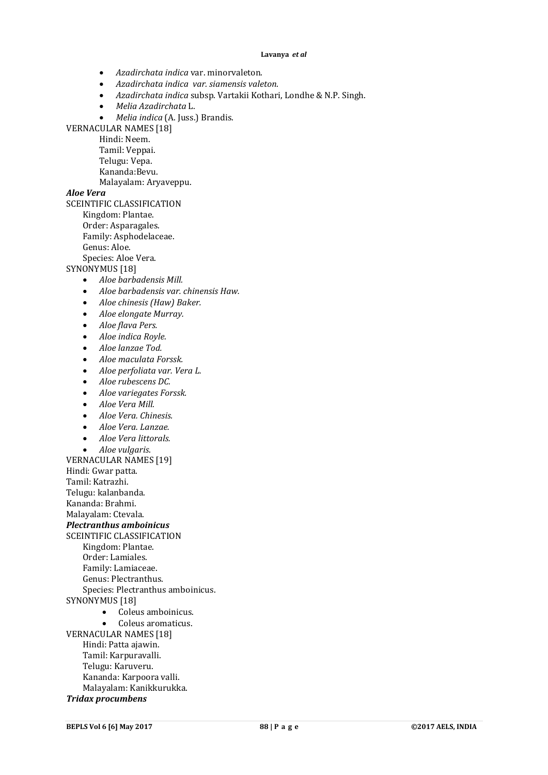- *Azadirchata indica* var. minorvaleton.
- *Azadirchata indica var. siamensis valeton*.
- *Azadirchata indica* subsp. Vartakii Kothari, Londhe & N.P. Singh.
- *Melia Azadirchata* L.
- *Melia indica* (A. Juss.) Brandis.

VERNACULAR NAMES [18]

Hindi: Neem.

- Tamil: Veppai. Telugu: Vepa.
- Kananda:Bevu.

Malayalam: Aryaveppu.

## *Aloe Vera*

SCEINTIFIC CLASSIFICATION

- Kingdom: Plantae.
- Order: Asparagales.
- Family: Asphodelaceae.

Genus: Aloe.

Species: Aloe Vera.

SYNONYMUS [18]

- *Aloe barbadensis Mill.*
- *Aloe barbadensis var. chinensis Haw.*
- *Aloe chinesis (Haw) Baker.*
- *Aloe elongate Murray.*
- *Aloe flava Pers.*
- *Aloe indica Royle.*
- *Aloe lanzae Tod.*
- *Aloe maculata Forssk.*
- *Aloe perfoliata var. Vera L.*
- *Aloe rubescens DC.*
- *Aloe variegates Forssk.*
- *Aloe Vera Mill.*
- *Aloe Vera. Chinesis.*
- *Aloe Vera. Lanzae.*
- *Aloe Vera littorals.*
- *Aloe vulgaris*.

VERNACULAR NAMES [19] Hindi: Gwar patta. Tamil: Katrazhi. Telugu: kalanbanda.

Kananda: Brahmi.

Malayalam: Ctevala.

*Plectranthus amboinicus*

SCEINTIFIC CLASSIFICATION

- Kingdom: Plantae.
- Order: Lamiales.
- Family: Lamiaceae.
- Genus: Plectranthus.
- Species: Plectranthus amboinicus.
- SYNONYMUS [18]
	- Coleus amboinicus.
	- Coleus aromaticus.
- VERNACULAR NAMES [18] Hindi: Patta ajawin. Tamil: Karpuravalli. Telugu: Karuveru. Kananda: Karpoora valli. Malayalam: Kanikkurukka.
- *Tridax procumbens*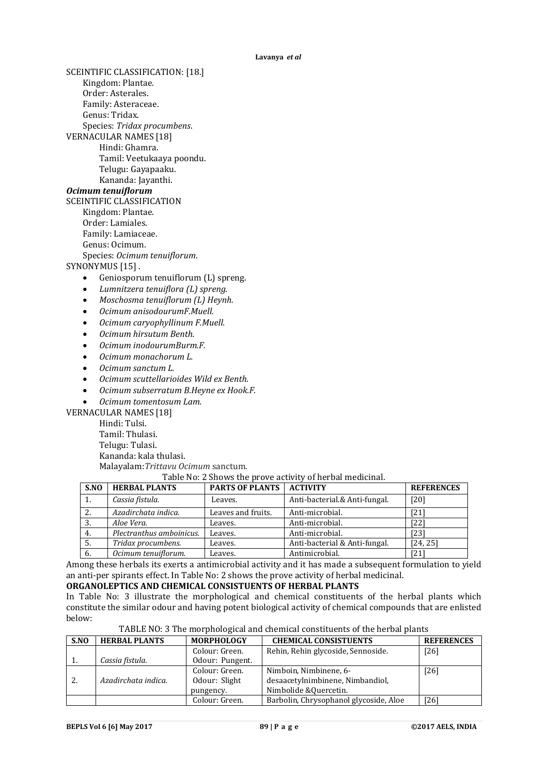SCEINTIFIC CLASSIFICATION: [18.] Kingdom: Plantae. Order: Asterales. Family: Asteraceae. Genus: Tridax. Species: *Tridax procumbens*. VERNACULAR NAMES [18] Hindi: Ghamra. Tamil: Veetukaaya poondu. Telugu: Gayapaaku. Kananda: Jayanthi. *Ocimum tenuiflorum* SCEINTIFIC CLASSIFICATION Kingdom: Plantae. Order: Lamiales. Family: Lamiaceae. Genus: Ocimum. Species: *Ocimum tenuiflorum*. SYNONYMUS [15]. Geniosporum tenuiflorum (L) spreng. *Lumnitzera tenuiflora (L) spreng. Moschosma tenuiflorum (L) Heynh. Ocimum anisodourumF.Muell. Ocimum caryophyllinum F.Muell. Ocimum hirsutum Benth. Ocimum inodourumBurm.F. Ocimum monachorum L. Ocimum sanctum L. Ocimum scuttellarioides Wild ex Benth.*

*Ocimum subserratum B.Heyne ex Hook.F.*

*Ocimum tomentosum Lam.*

VERNACULAR NAMES [18]

Hindi: Tulsi. Tamil: Thulasi. Telugu: Tulasi. Kananda: kala thulasi. Malayalam:*Trittavu Ocimum* sanctum.

#### Table No: 2 Shows the prove activity of herbal medicinal.

| S.NO | <b>HERBAL PLANTS</b>     | <b>PARTS OF PLANTS</b> | <b>ACTIVITY</b>               | <b>REFERENCES</b> |
|------|--------------------------|------------------------|-------------------------------|-------------------|
| 1.   | Cassia fistula.          | Leaves.                | Anti-bacterial.& Anti-fungal. | [20]              |
| 2.   | Azadirchata indica.      | Leaves and fruits.     | Anti-microbial.               | [21]              |
| 3.   | Aloe Vera.               | Leaves.                | Anti-microbial.               | [22]              |
| 4.   | Plectranthus amboinicus. | Leaves.                | Anti-microbial.               | [23]              |
| 5.   | Tridax procumbens.       | Leaves.                | Anti-bacterial & Anti-fungal. | [24, 25]          |
| 6.   | Ocimum tenuiflorum.      | Leaves.                | Antimicrobial.                | [21]              |

Among these herbals its exerts a antimicrobial activity and it has made a subsequent formulation to yield an anti-per spirants effect. In Table No: 2 shows the prove activity of herbal medicinal.

#### **ORGANOLEPTICS AND CHEMICAL CONSISTUENTS OF HERBAL PLANTS**

In Table No: 3 illustrate the morphological and chemical constituents of the herbal plants which constitute the similar odour and having potent biological activity of chemical compounds that are enlisted below:

| S.NO | <b>HERBAL PLANTS</b> | <b>MORPHOLOGY</b> | <b>CHEMICAL CONSISTUENTS</b>           | <b>REFERENCES</b> |
|------|----------------------|-------------------|----------------------------------------|-------------------|
|      |                      | Colour: Green.    | Rehin, Rehin glycoside, Sennoside.     | [26]              |
|      | Cassia fistula.      | Odour: Pungent.   |                                        |                   |
|      |                      | Colour: Green.    | Nimboin, Nimbinene, 6-                 | [26]              |
| 2.   | Azadirchata indica.  | Odour: Slight     | desaacetylnimbinene, Nimbandiol,       |                   |
|      |                      | pungency.         | Nimbolide & Quercetin.                 |                   |
|      |                      | Colour: Green.    | Barbolin, Chrysophanol glycoside, Aloe | [26]              |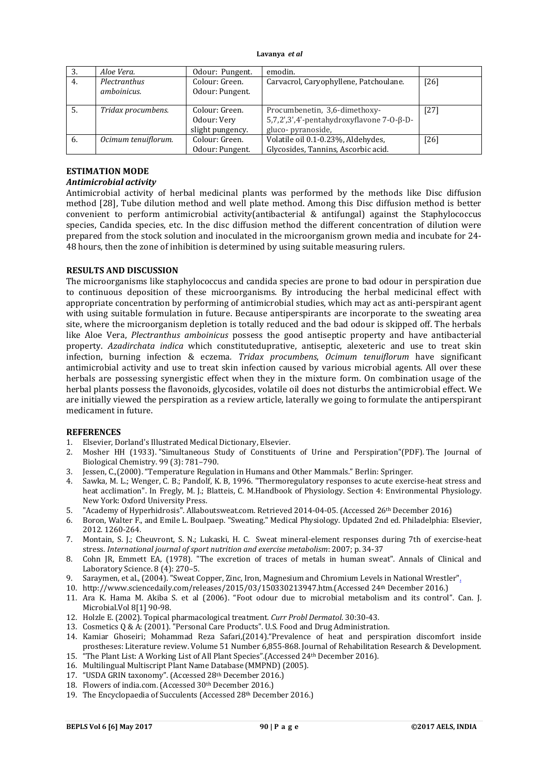| 3. | Aloe Vera.                  | Odour: Pungent.                                   | emodin.                                                                                               |        |
|----|-----------------------------|---------------------------------------------------|-------------------------------------------------------------------------------------------------------|--------|
| 4. | Plectranthus<br>amboinicus. | Colour: Green.<br>Odour: Pungent.                 | Carvacrol, Caryophyllene, Patchoulane.                                                                | [26]   |
| 5. | Tridax procumbens.          | Colour: Green.<br>Odour: Very<br>slight pungency. | Procumbenetin, 3,6-dimethoxy-<br>$5,7,2',3',4'-pentahydroxyflavone 7-0-\beta-D-$<br>gluco-pyranoside, | $[27]$ |
| 6. | Ocimum tenuiflorum.         | Colour: Green.<br>Odour: Pungent.                 | Volatile oil 0.1-0.23%, Aldehydes,<br>Glycosides, Tannins, Ascorbic acid.                             | [26]   |

## **ESTIMATION MODE**

## *Antimicrobial activity*

Antimicrobial activity of herbal medicinal plants was performed by the methods like Disc diffusion method [28], Tube dilution method and well plate method. Among this Disc diffusion method is better convenient to perform antimicrobial activity(antibacterial & antifungal) against the Staphylococcus species, Candida species, etc. In the disc diffusion method the different concentration of dilution were prepared from the stock solution and inoculated in the microorganism grown media and incubate for 24- 48 hours, then the zone of inhibition is determined by using suitable measuring rulers.

## **RESULTS AND DISCUSSION**

The microorganisms like staphylococcus and candida species are prone to bad odour in perspiration due to continuous deposition of these microorganisms. By introducing the herbal medicinal effect with appropriate concentration by performing of antimicrobial studies, which may act as anti-perspirant agent with using suitable formulation in future. Because antiperspirants are incorporate to the sweating area site, where the microorganism depletion is totally reduced and the bad odour is skipped off. The herbals like Aloe Vera, *Plectranthus amboinicus* possess the good antiseptic property and have antibacterial property. *Azadirchata indica* which constituteduprative, antiseptic, alexeteric and use to treat skin infection, burning infection & eczema*. Tridax procumbens*, *Ocimum tenuiflorum* have significant antimicrobial activity and use to treat skin infection caused by various microbial agents. All over these herbals are possessing synergistic effect when they in the mixture form. On combination usage of the herbal plants possess the flavonoids, glycosides, volatile oil does not disturbs the antimicrobial effect. We are initially viewed the perspiration as a review article, laterally we going to formulate the antiperspirant medicament in future.

### **REFERENCES**

- 1. Elsevier, Dorland's Illustrated Medical Dictionary, Elsevier.
- 2. Mosher HH (1933). "Simultaneous Study of Constituents of Urine and Perspiration"(PDF). The Journal of Biological Chemistry. 99 (3): 781–790.
- 3. Jessen, C.,(2000). "Temperature Regulation in Humans and Other Mammals." Berlin: Springer.
- 4. Sawka, M. L.; Wenger, C. B.; Pandolf, K. B, 1996. "Thermoregulatory responses to acute exercise-heat stress and heat acclimation". In Fregly, M. J.; Blatteis, C. M.Handbook of Physiology. Section 4: Environmental Physiology. New York: Oxford University Press.
- 5. "Academy of Hyperhidrosis". Allaboutsweat.com. Retrieved 2014-04-05. (Accessed 26th December 2016)
- 6. Boron, Walter F., and Emile L. Boulpaep. "Sweating." Medical Physiology. Updated 2nd ed. Philadelphia: Elsevier, 2012. 1260-264.
- 7. Montain, S. J.; Cheuvront, S. N.; Lukaski, H. C. Sweat mineral-element responses during 7th of exercise-heat stress. *International journal of sport nutrition and exercise metabolism*: 2007; p. 34-37
- 8. Cohn JR, Emmett EA, (1978). "The excretion of traces of metals in human sweat". Annals of Clinical and Laboratory Science. 8 (4): 270–5.
- 9. Saraymen, et al., (2004). "Sweat Copper, Zinc, Iron, Magnesium and Chromium Levels in National Wrestler".
- 10. http://www.sciencedaily.com/releases/2015/03/150330213947.htm.(Accessed 24th December 2016.)
- 11. Ara K. Hama M. Akiba S. et al (2006). "Foot odour due to microbial metabolism and its control". Can. J. Microbial. Vol 8[1] 90-98.
- 12. Holzle E. (2002). Topical pharmacological treatment. *Curr Probl Dermatol*. 30:30-43.
- 13. Cosmetics Q & A: (2001). "Personal Care Products". U.S. Food and Drug Administration.
- 14. Kamiar Ghoseiri; Mohammad Reza Safari,(2014)."Prevalence of heat and perspiration discomfort inside prostheses: Literature review. Volume 51 Number 6,855-868. Journal of Rehabilitation Research & Development. 15. "The Plant List: A Working List of All Plant Species".(Accessed 24th December 2016).
- 16. Multilingual Multiscript Plant Name Database (MMPND) (2005).
- 17. "USDA GRIN taxonomy". (Accessed 28th December 2016.)
- 18. Flowers of india.com. (Accessed 30th December 2016.)
- 19. The Encyclopaedia of Succulents (Accessed 28th December 2016.)